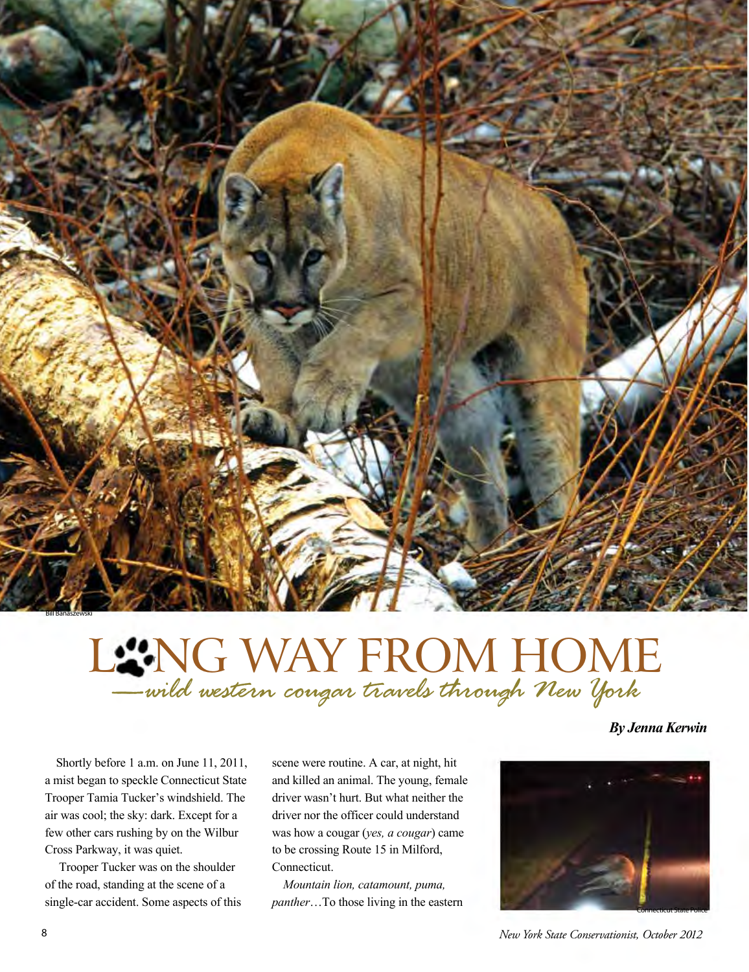

## LENG WAY FROM HOME *—wild western cougar travels through New York*

*By Jenna Kerwin* 

Shortly before 1 a.m. on June 11, 2011, a mist began to speckle Connecticut State Trooper Tamia Tucker's windshield. The air was cool; the sky: dark. Except for a few other cars rushing by on the Wilbur Cross Parkway, it was quiet.

 Trooper Tucker was on the shoulder of the road, standing at the scene of a single-car accident. Some aspects of this scene were routine. A car, at night, hit and killed an animal. The young, female driver wasn't hurt. But what neither the driver nor the officer could understand was how a cougar (*yes, a cougar*) came to be crossing Route 15 in Milford, Connecticut.

*Mountain lion, catamount, puma, panther*…To those living in the eastern



8 *New York State Conservationist, October 2012*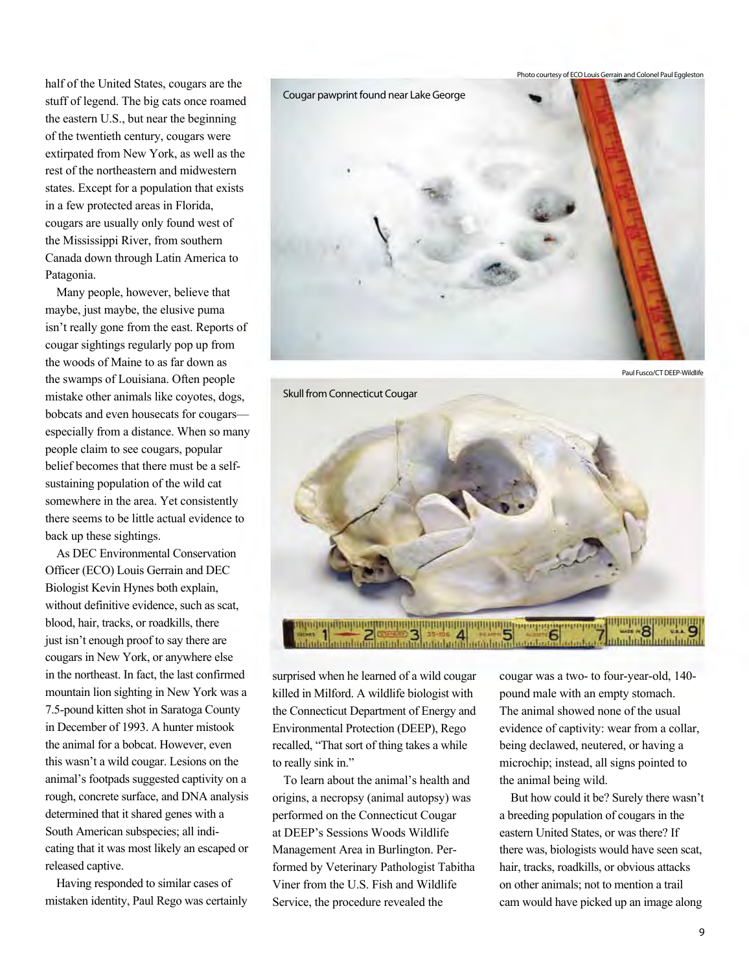half of the United States, cougars are the stuff of legend. The big cats once roamed the eastern U.S., but near the beginning of the twentieth century, cougars were extirpated from New York, as well as the rest of the northeastern and midwestern states. Except for a population that exists in a few protected areas in Florida, cougars are usually only found west of the Mississippi River, from southern Canada down through Latin America to Patagonia.

Many people, however, believe that maybe, just maybe, the elusive puma isn't really gone from the east. Reports of cougar sightings regularly pop up from the woods of Maine to as far down as the swamps of Louisiana. Often people mistake other animals like coyotes, dogs, bobcats and even housecats for cougars especially from a distance. When so many people claim to see cougars, popular belief becomes that there must be a selfsustaining population of the wild cat somewhere in the area. Yet consistently there seems to be little actual evidence to back up these sightings.

As DEC Environmental Conservation Officer (ECO) Louis Gerrain and DEC Biologist Kevin Hynes both explain, without definitive evidence, such as scat, blood, hair, tracks, or roadkills, there just isn't enough proof to say there are cougars in New York, or anywhere else in the northeast. In fact, the last confirmed mountain lion sighting in New York was a 7.5-pound kitten shot in Saratoga County in December of 1993. A hunter mistook the animal for a bobcat. However, even this wasn't a wild cougar. Lesions on the animal's footpads suggested captivity on a rough, concrete surface, and DNA analysis determined that it shared genes with a South American subspecies; all indicating that it was most likely an escaped or released captive.

Having responded to similar cases of mistaken identity, Paul Rego was certainly



Paul Fusco/CT DEEP-Wildlife



surprised when he learned of a wild cougar killed in Milford. A wildlife biologist with the Connecticut Department of Energy and Environmental Protection (DEEP), Rego recalled, "That sort of thing takes a while to really sink in."

To learn about the animal's health and origins, a necropsy (animal autopsy) was performed on the Connecticut Cougar at DEEP's Sessions Woods Wildlife Management Area in Burlington. Performed by Veterinary Pathologist Tabitha Viner from the U.S. Fish and Wildlife Service, the procedure revealed the

cougar was a two- to four-year-old, 140 pound male with an empty stomach. The animal showed none of the usual evidence of captivity: wear from a collar, being declawed, neutered, or having a microchip; instead, all signs pointed to the animal being wild.

But how could it be? Surely there wasn't a breeding population of cougars in the eastern United States, or was there? If there was, biologists would have seen scat, hair, tracks, roadkills, or obvious attacks on other animals; not to mention a trail cam would have picked up an image along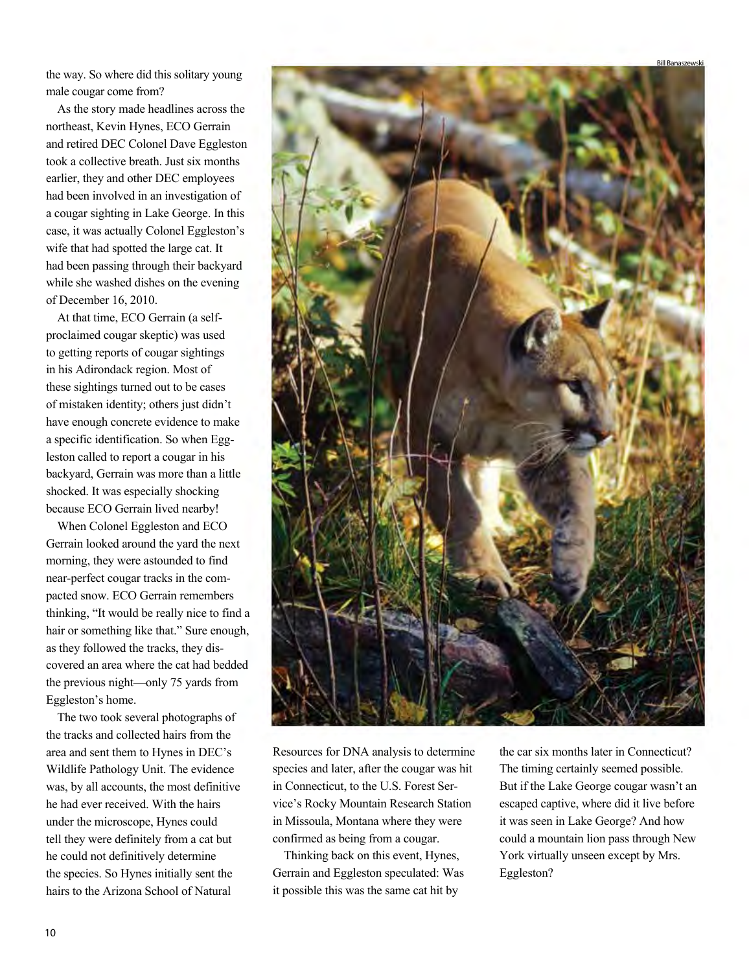the way. So where did this solitary young male cougar come from?

As the story made headlines across the northeast, Kevin Hynes, ECO Gerrain and retired DEC Colonel Dave Eggleston took a collective breath. Just six months earlier, they and other DEC employees had been involved in an investigation of a cougar sighting in Lake George. In this case, it was actually Colonel Eggleston's wife that had spotted the large cat. It had been passing through their backyard while she washed dishes on the evening of December 16, 2010.

At that time, ECO Gerrain (a selfproclaimed cougar skeptic) was used to getting reports of cougar sightings in his Adirondack region. Most of these sightings turned out to be cases of mistaken identity; others just didn't have enough concrete evidence to make a specific identification. So when Eggleston called to report a cougar in his backyard, Gerrain was more than a little shocked. It was especially shocking because ECO Gerrain lived nearby!

When Colonel Eggleston and ECO Gerrain looked around the yard the next morning, they were astounded to find near-perfect cougar tracks in the compacted snow. ECO Gerrain remembers thinking, "It would be really nice to find a hair or something like that." Sure enough, as they followed the tracks, they discovered an area where the cat had bedded the previous night—only 75 yards from Eggleston's home.

The two took several photographs of the tracks and collected hairs from the area and sent them to Hynes in DEC's Wildlife Pathology Unit. The evidence was, by all accounts, the most definitive he had ever received. With the hairs under the microscope, Hynes could tell they were definitely from a cat but he could not definitively determine the species. So Hynes initially sent the hairs to the Arizona School of Natural



Resources for DNA analysis to determine species and later, after the cougar was hit in Connecticut, to the U.S. Forest Service's Rocky Mountain Research Station in Missoula, Montana where they were confirmed as being from a cougar.

Thinking back on this event, Hynes, Gerrain and Eggleston speculated: Was it possible this was the same cat hit by

the car six months later in Connecticut? The timing certainly seemed possible. But if the Lake George cougar wasn't an escaped captive, where did it live before it was seen in Lake George? And how could a mountain lion pass through New York virtually unseen except by Mrs. Eggleston?